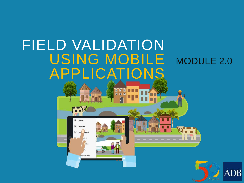## FIELD VALIDATION USING MOBILE MODULE 2.0 APPLICATIONS

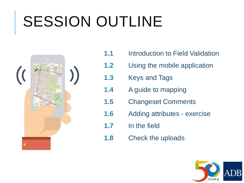# SESSION OUTLINE



- **1.1** Introduction to Field Validation
- **1.2** Using the mobile application
- **1.3** Keys and Tags
- **1.4** A guide to mapping
- **1.5** Changeset Comments
- **1.6** Adding attributes exercise
- **1.7** In the field
- **1.8** Check the uploads

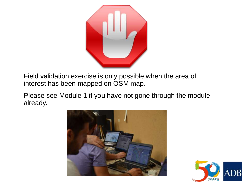

Field validation exercise is only possible when the area of interest has been mapped on OSM map.

Please see Module 1 if you have not gone through the module already.



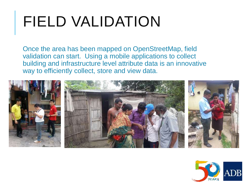# FIELD VALIDATION

Once the area has been mapped on OpenStreetMap, field validation can start. Using a mobile applications to collect building and infrastructure level attribute data is an innovative way to efficiently collect, store and view data.



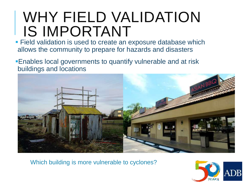# WHY FIELD VALIDATION IS IMPORTANT

**Field validation is used to create an exposure database which** allows the community to prepare for hazards and disasters

Enables local governments to quantify vulnerable and at risk buildings and locations



Which building is more vulnerable to cyclones?

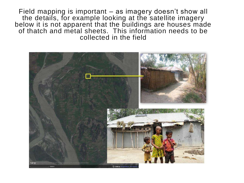Field mapping is important – as imagery doesn't show all the details, for example looking at the satellite imagery below it is not apparent that the buildings are houses made of thatch and metal sheets. This information needs to be collected in the field

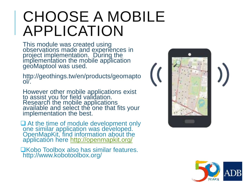# CHOOSE A MOBILE APPLICATION

This module was created using observations made and experiences in project implementation. During the implementation the mobile application geoMaptool was used.

http://geothings.tw/en/products/geomapto ol/.

However other mobile applications exist to assist you for field validation. Research the mobile applications available and select the one that fits your implementation the best.

**■** At the time of module development only one similar application was developed. OpenMapKit, find information about the application here <http://openmapkit.org/>

**QKobo Toolbox also has similar features.** http://www.kobotoolbox.org/





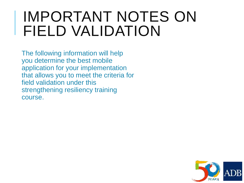## IMPORTANT NOTES ON FIELD VALIDATION

The following information will help you determine the best mobile application for your implementation that allows you to meet the criteria for field validation under this strengthening resiliency training course.

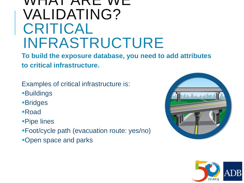### WHAT ARE WE VALIDATING? CRITICAL INFRASTRUCTURE

**To build the exposure database, you need to add attributes to critical infrastructure.** 

Examples of critical infrastructure is:

Buildings

**-Bridges** 

Road

Pipe lines

Foot/cycle path (evacuation route: yes/no)

Open space and parks



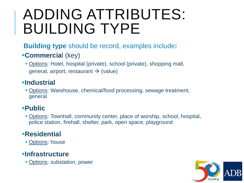# ADDING ATTRIBUTES: BUILDING TYPE

#### **Building type** should be record, examples include**:**

#### **Commercia**l (key)

 Options: Hotel, hospital (private), school (private), shopping mall, general, airport, restaurant  $\rightarrow$  (value)

#### **Industrial**

 Options: Warehouse, chemical/food processing, sewage treatment, general

#### **Public**

 Options: Townhall, community center, place of worship, school, hospital, police station, firehall, shelter, park, open space, playground

#### **Residential**

**• Options: house** 

#### **Infrastructure**

**- Options: substation, power** 

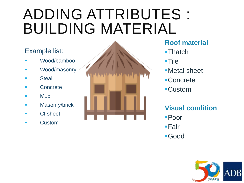# ADDING ATTRIBUTES : BUILDING MATERIAL

#### Example list:

- Wood/bamboo
- **Nood/masonry**
- **Steal**
- **Concrete**
- **Mud**
- **Masonry/brick**
- **CI** sheet
- **Custom**



#### **Roof material**

- **-Thatch**
- ■Tile
- Metal sheet
- Concrete
- Custom

#### **Visual condition**

- Poor
- ■Fair
- Good

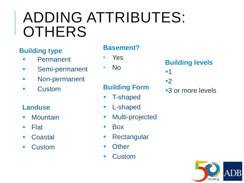# ADDING ATTRIBUTES: **OTHERS**

#### **Building type**

- **Permanent**
- **Semi-permanent**
- **Non-permanent**
- **Custom**

#### **Landuse**

- **Mountain**
- $\blacksquare$  Flat
- Coastal
- **Custom**

#### **Basement?**

- Yes
	- No

#### **Building Form**

- T-shaped
- **L-shaped**
- **Nulti-projected**
- **Box**
- **Rectangular**
- **n** Other
- **Custom**

#### **Building levels**

- $-1$
- ■2
- ■3 or more levels

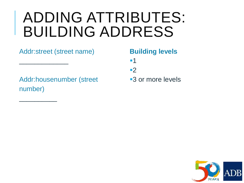## ADDING ATTRIBUTES: BUILDING ADDRESS

#### Addr:street (street name)

 $\overline{\phantom{a}}$  , where  $\overline{\phantom{a}}$ 

 $\overline{\phantom{a}}$  , where  $\overline{\phantom{a}}$ 

**Building levels**

 $-1$ 

■2

Addr:housenumber (street number)

■3 or more levels

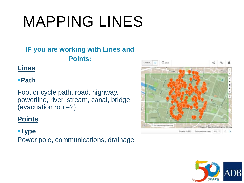# MAPPING LINES

#### **IF you are working with Lines and Points:**

#### **Lines**

#### **Path**

Foot or cycle path, road, highway, powerline, river, stream, canal, bridge (evacuation route?)

#### **Points**

#### **Type**

Power pole, communications, drainage



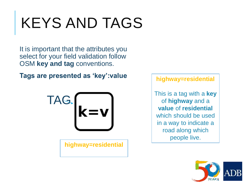# KEYS AND TAGS

It is important that the attributes you select for your field validation follow OSM **key and tag** conventions.

**Tags are presented as 'key':value**



**highway=residential** 

**highway=residential** 

This is a tag with a **key** of **highway** and a **value** of **residential** which should be used in a way to indicate a road along which people live.

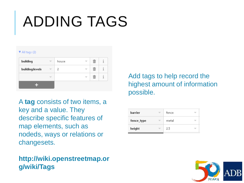# ADDING TAGS

#### $\Psi$  All tags (2)

| building        | house | m | i |
|-----------------|-------|---|---|
| building:levels | 2     | m | i |
|                 |       | m | i |
|                 |       |   |   |

A **tag** consists of two items, a key and a value. They describe specific features of map elements, such as nodeds, ways or relations or changesets.

#### **http://wiki.openstreetmap.or g/wiki/Tags**

Add tags to help record the highest amount of information possible.

| <b>barrier</b> | fence |  |
|----------------|-------|--|
| fence_type     | metal |  |
| height         | 2.5   |  |

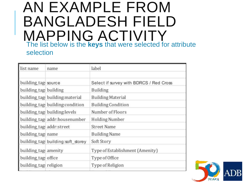### AN EXAMPLE FROM BANGLADESH FIELD MAPPING ACTIVITY The list below is the **keys** that were selected for attribute selection

| list name                 | name                               | label                                   |
|---------------------------|------------------------------------|-----------------------------------------|
| building_tags source      |                                    | Select if survey with BDRCS / Red Cross |
| building_tags building    |                                    | Building                                |
|                           | building_tags building: material   | <b>Building Material</b>                |
|                           | building_tags building:condition   | <b>Building Condition</b>               |
|                           | building_tags building:levels      | Number of Floors                        |
|                           | building_tags addr:housenumber     | Holding Number                          |
| building_tags addr:street |                                    | <b>Street Name</b>                      |
| building_tags name        |                                    | <b>Building Name</b>                    |
|                           | building_tags building:soft_storey | Soft Story                              |
| building_tags amenity     |                                    | Type of Establishment (Amenity)         |
| building tags office      |                                    | Type of Office                          |
| building_tags religion    |                                    | Type of Religion                        |

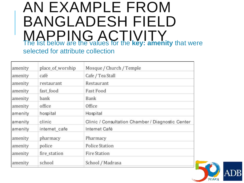### AN EXAMPLE FROM BANGLADESH FIELD MAPPING ACTIVITY<br>The list below are the values for the **key: amenity** that were selected for attribute collection

| amenity | place_of_worship | Mosque / Church / Temple                          |
|---------|------------------|---------------------------------------------------|
| amenity | café             | Cafe / Tea Stall                                  |
| amenity | restaurant       | Restaurant                                        |
| amenity | fast food        | <b>Fast Food</b>                                  |
| amenity | bank             | Bank                                              |
| amenity | office           | Office                                            |
| amenity | hospital         | Hospital                                          |
| amenity | clinic           | Clinic / Consultation Chamber / Diagnostic Center |
| amenity | internet cafe    | Internet Café                                     |
| amenity | pharmacy         | Pharmacy                                          |
| amenity | police           | <b>Police Station</b>                             |
| amenity | fire_station     | <b>Fire Station</b>                               |
| amenity | school           | School / Madrasa                                  |

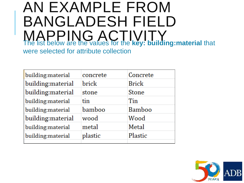### AN EXAMPLE FROM BANGLADESH FIELD MAPPING ACTIVITY The list below are the values for the **key: building:material** that were selected for attribute collection

| building: material | concrete | Concrete      |
|--------------------|----------|---------------|
| building:material  | brick    | <b>Brick</b>  |
| building:material  | stone    | <b>Stone</b>  |
| building: material | tin      | Tin           |
| building:material  | bamboo   | <b>Bamboo</b> |
| building: material | wood     | Wood          |
| building:material  | metal    | Metal         |
| building:material  | plastic  | Plastic       |
|                    |          |               |

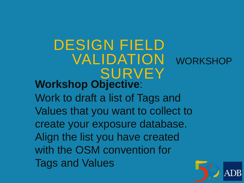### DESIGN FIELD VALIDATION WORKSHOP SURVEY **Workshop Objective**:

Work to draft a list of Tags and Values that you want to collect to create your exposure database. Align the list you have created with the OSM convention for Tags and Values

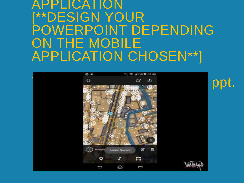### APPLICATION [\*\*DESIGN YOUR POWERPOINT DEPENDING ON THE MOBILE APPLICATION CHOSEN\*\*]

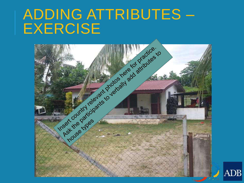## ADDING ATTRIBUTES – EXERCISE



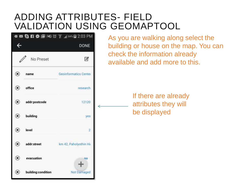#### ADDING ATTRIBUTES- FIELD VALIDATION USING GEOMAPTOOL

|                            |                    | <b>DONE</b>            |
|----------------------------|--------------------|------------------------|
|                            | No Preset          | G                      |
| $^\circledR$               | name               | Geoinformatics Center  |
| $\circledast$              | office             | research               |
| $\circledast$              | addr:postcode      | 12120                  |
| $\circledast$              | building           | yes                    |
| $\circledast$              | level              | $2^{\circ}$            |
| $\circledast$              | addr:street        | km 42, Paholyothin Hir |
| $\circledast$              | evacuation         | no                     |
| $\left( \mathbf{x}\right)$ | building:condition | Not Damaged            |

As you are walking along select the building or house on the map. You can check the information already available and add more to this.

> If there are already attributes they will be displayed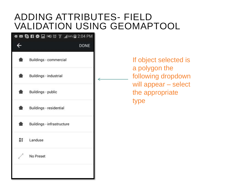#### ADDING ATTRIBUTES- FIELD VALIDATION USING GEOMAPTOOL

|                | Q E G F O Q IXI Ø 7 .1184% Ø 2:04 PM |
|----------------|--------------------------------------|
|                | <b>DONE</b>                          |
| 會              | Buildings - commercial               |
|                | Buildings - industrial               |
| $\blacksquare$ | Buildings - public                   |
| 备              | Buildings - residential              |
| 音.             | Buildings - infrastructure           |
|                | $\frac{2\pi}{10}$ Landuse            |
|                | No Preset                            |
|                |                                      |

If object selected is a polygon the following dropdown will appear – select the appropriate type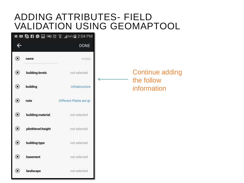#### ADDING ATTRIBUTES- FIELD VALIDATION USING GEOMAPTOOL

| $\leftarrow$  |                    | <b>DONE</b>             |  |
|---------------|--------------------|-------------------------|--|
| $^\circledR$  | name               | empty.                  |  |
| $\circledast$ | building:levels    | not selected            |  |
| $\circledast$ | building           | infrastructure          |  |
| $\bf{z}$      | note               | Different Plants are gr |  |
| $^\circledR$  | building:material  | not selected            |  |
| $\circledast$ | plinthlevel:height | not selected            |  |
| $\circledast$ | building:type      | not selected            |  |
| $\bf x)$      | basement           | not selected            |  |
| $\mathbf{x}$  | landscape          | not selected            |  |

Continue adding the follow **Contract Contract** information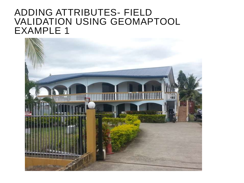#### ADDING ATTRIBUTES- FIELD VALIDATION USING GEOMAPTOOL EXAMPLE 1

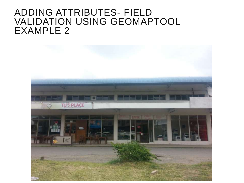#### ADDING ATTRIBUTES- FIELD VALIDATION USING GEOMAPTOOL EXAMPLE 2

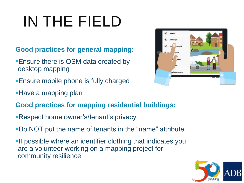# IN THE FIELD

**Good practices for general mapping**:

- Ensure there is OSM data created by desktop mapping
- Ensure mobile phone is fully charged
- **Have a mapping plan**
- **Good practices for mapping residential buildings:**
- Respect home owner's/tenant's privacy
- Do NOT put the name of tenants in the "name" attribute
- **-If possible where an identifier clothing that indicates you** are a volunteer working on a mapping project for community resilience



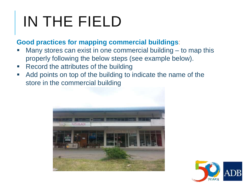# IN THE FIELD

#### **Good practices for mapping commercial buildings**:

- Many stores can exist in one commercial building to map this properly following the below steps (see example below).
- Record the attributes of the building
- Add points on top of the building to indicate the name of the store in the commercial building



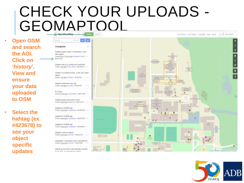# CHECK YOUR UPLOADS - GEOMAPTOOL

• **Open OSM and search the AOI. Click on '***history***'. View and ensure your data uploaded to OSM**

• **Select the hahtag (ex. #423678) to see your object specific updates** 



internet, accessment to when (manually reviewed the site is thrown a cost of development with a subject to